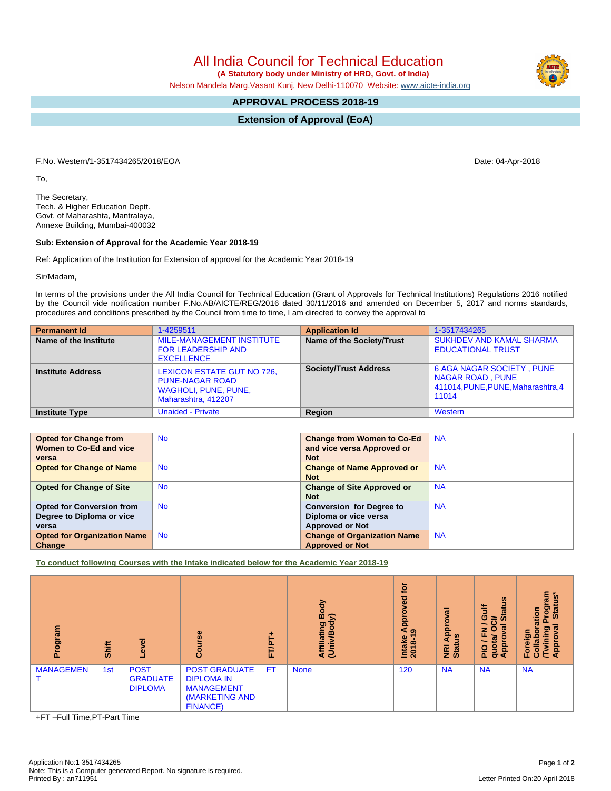All India Council for Technical Education

 **(A Statutory body under Ministry of HRD, Govt. of India)**

Nelson Mandela Marg,Vasant Kunj, New Delhi-110070 Website: [www.aicte-india.org](http://www.aicte-india.org)

## **APPROVAL PROCESS 2018-19**

**Extension of Approval (EoA)**

F.No. Western/1-3517434265/2018/EOA Date: 04-Apr-2018

To,

The Secretary, Tech. & Higher Education Deptt. Govt. of Maharashta, Mantralaya, Annexe Building, Mumbai-400032

## **Sub: Extension of Approval for the Academic Year 2018-19**

Ref: Application of the Institution for Extension of approval for the Academic Year 2018-19

Sir/Madam,

In terms of the provisions under the All India Council for Technical Education (Grant of Approvals for Technical Institutions) Regulations 2016 notified by the Council vide notification number F.No.AB/AICTE/REG/2016 dated 30/11/2016 and amended on December 5, 2017 and norms standards, procedures and conditions prescribed by the Council from time to time, I am directed to convey the approval to

| <b>Permanent Id</b>      | 1-4259511                                                                                           | <b>Application Id</b>        | 1-3517434265                                                                                               |
|--------------------------|-----------------------------------------------------------------------------------------------------|------------------------------|------------------------------------------------------------------------------------------------------------|
| Name of the Institute    | MILE-MANAGEMENT INSTITUTE<br><b>FOR LEADERSHIP AND</b><br><b>EXCELLENCE</b>                         | Name of the Society/Trust    | <b>SUKHDEV AND KAMAL SHARMA</b><br><b>EDUCATIONAL TRUST</b>                                                |
| <b>Institute Address</b> | LEXICON ESTATE GUT NO 726,<br><b>PUNE-NAGAR ROAD</b><br>WAGHOLI, PUNE, PUNE,<br>Maharashtra, 412207 | <b>Society/Trust Address</b> | <b>6 AGA NAGAR SOCIETY, PUNE</b><br><b>NAGAR ROAD, PUNE</b><br>411014, PUNE, PUNE, Maharashtra, 4<br>11014 |
| <b>Institute Type</b>    | <b>Unaided - Private</b>                                                                            | Region                       | Western                                                                                                    |

| <b>Opted for Change from</b><br>Women to Co-Ed and vice<br>versa       | <b>No</b> | <b>Change from Women to Co-Ed</b><br>and vice versa Approved or<br><b>Not</b>      | <b>NA</b> |
|------------------------------------------------------------------------|-----------|------------------------------------------------------------------------------------|-----------|
| <b>Opted for Change of Name</b>                                        | <b>No</b> | <b>Change of Name Approved or</b><br><b>Not</b>                                    | <b>NA</b> |
| <b>Opted for Change of Site</b>                                        | <b>No</b> | <b>Change of Site Approved or</b><br><b>Not</b>                                    | <b>NA</b> |
| <b>Opted for Conversion from</b><br>Degree to Diploma or vice<br>versa | <b>No</b> | <b>Conversion for Degree to</b><br>Diploma or vice versa<br><b>Approved or Not</b> | <b>NA</b> |
| <b>Opted for Organization Name</b><br>Change                           | <b>No</b> | <b>Change of Organization Name</b><br><b>Approved or Not</b>                       | <b>NA</b> |

**To conduct following Courses with the Intake indicated below for the Academic Year 2018-19**

| Program          | Shift | ō<br>Φ                                           | $\omega$<br>Ũ.                                                                                      | ٠<br><b>FT/PT</b> | Body<br>≲<br>Affiliating<br>(Univ/Bod <sup>1</sup> | 흐<br>್ಠಾ<br>о<br><b>Appi</b><br>෧<br>Intake<br>2018-1 | œ<br>o<br>Appro<br><b>NRI Ap<br/>Status</b> | ம<br><b>Jire</b><br>ā<br>≃<br>ဖာ<br>∽<br>ಕ<br>z<br>O<br>u,<br>۰<br>quota<br><b>Appro</b><br>$\frac{1}{2}$ | ัน<br>รู<br>Stat<br>စ္မွ<br>ation<br>۵<br>ह<br>ဥ<br>Foreigr<br><b>Twini</b><br>Collal<br>Appr |
|------------------|-------|--------------------------------------------------|-----------------------------------------------------------------------------------------------------|-------------------|----------------------------------------------------|-------------------------------------------------------|---------------------------------------------|-----------------------------------------------------------------------------------------------------------|-----------------------------------------------------------------------------------------------|
| <b>MANAGEMEN</b> | 1st   | <b>POST</b><br><b>GRADUATE</b><br><b>DIPLOMA</b> | <b>POST GRADUATE</b><br><b>DIPLOMA IN</b><br><b>MANAGEMENT</b><br>(MARKETING AND<br><b>FINANCE)</b> | <b>FT</b>         | <b>None</b>                                        | 120                                                   | <b>NA</b>                                   | <b>NA</b>                                                                                                 | <b>NA</b>                                                                                     |

+FT –Full Time,PT-Part Time